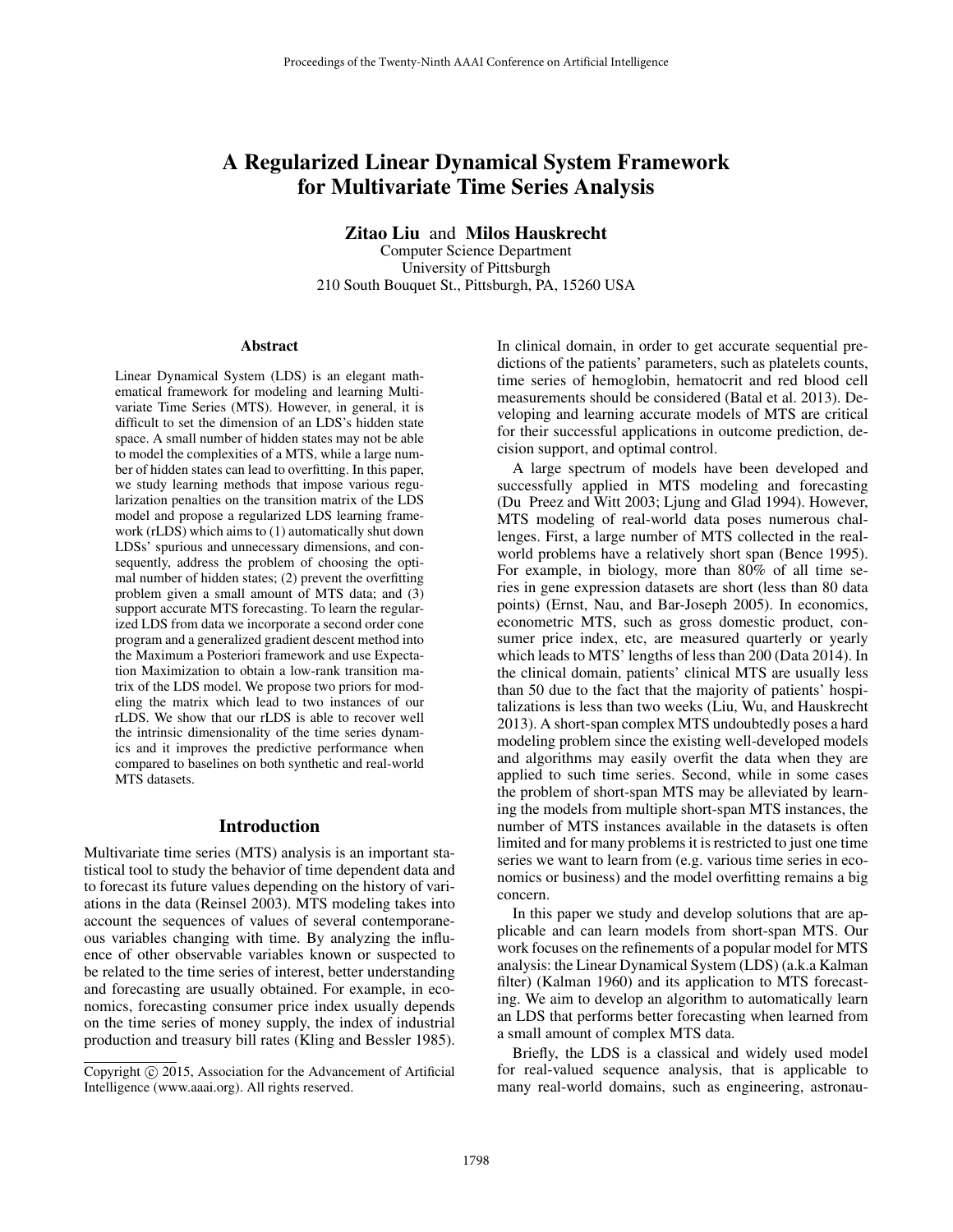# A Regularized Linear Dynamical System Framework for Multivariate Time Series Analysis

Zitao Liu and Milos Hauskrecht

Computer Science Department University of Pittsburgh 210 South Bouquet St., Pittsburgh, PA, 15260 USA

#### Abstract

Linear Dynamical System (LDS) is an elegant mathematical framework for modeling and learning Multivariate Time Series (MTS). However, in general, it is difficult to set the dimension of an LDS's hidden state space. A small number of hidden states may not be able to model the complexities of a MTS, while a large number of hidden states can lead to overfitting. In this paper, we study learning methods that impose various regularization penalties on the transition matrix of the LDS model and propose a regularized LDS learning framework (rLDS) which aims to (1) automatically shut down LDSs' spurious and unnecessary dimensions, and consequently, address the problem of choosing the optimal number of hidden states; (2) prevent the overfitting problem given a small amount of MTS data; and (3) support accurate MTS forecasting. To learn the regularized LDS from data we incorporate a second order cone program and a generalized gradient descent method into the Maximum a Posteriori framework and use Expectation Maximization to obtain a low-rank transition matrix of the LDS model. We propose two priors for modeling the matrix which lead to two instances of our rLDS. We show that our rLDS is able to recover well the intrinsic dimensionality of the time series dynamics and it improves the predictive performance when compared to baselines on both synthetic and real-world MTS datasets.

#### Introduction

Multivariate time series (MTS) analysis is an important statistical tool to study the behavior of time dependent data and to forecast its future values depending on the history of variations in the data (Reinsel 2003). MTS modeling takes into account the sequences of values of several contemporaneous variables changing with time. By analyzing the influence of other observable variables known or suspected to be related to the time series of interest, better understanding and forecasting are usually obtained. For example, in economics, forecasting consumer price index usually depends on the time series of money supply, the index of industrial production and treasury bill rates (Kling and Bessler 1985).

In clinical domain, in order to get accurate sequential predictions of the patients' parameters, such as platelets counts, time series of hemoglobin, hematocrit and red blood cell measurements should be considered (Batal et al. 2013). Developing and learning accurate models of MTS are critical for their successful applications in outcome prediction, decision support, and optimal control.

A large spectrum of models have been developed and successfully applied in MTS modeling and forecasting (Du Preez and Witt 2003; Ljung and Glad 1994). However, MTS modeling of real-world data poses numerous challenges. First, a large number of MTS collected in the realworld problems have a relatively short span (Bence 1995). For example, in biology, more than 80% of all time series in gene expression datasets are short (less than 80 data points) (Ernst, Nau, and Bar-Joseph 2005). In economics, econometric MTS, such as gross domestic product, consumer price index, etc, are measured quarterly or yearly which leads to MTS' lengths of less than 200 (Data 2014). In the clinical domain, patients' clinical MTS are usually less than 50 due to the fact that the majority of patients' hospitalizations is less than two weeks (Liu, Wu, and Hauskrecht 2013). A short-span complex MTS undoubtedly poses a hard modeling problem since the existing well-developed models and algorithms may easily overfit the data when they are applied to such time series. Second, while in some cases the problem of short-span MTS may be alleviated by learning the models from multiple short-span MTS instances, the number of MTS instances available in the datasets is often limited and for many problems it is restricted to just one time series we want to learn from (e.g. various time series in economics or business) and the model overfitting remains a big concern.

In this paper we study and develop solutions that are applicable and can learn models from short-span MTS. Our work focuses on the refinements of a popular model for MTS analysis: the Linear Dynamical System (LDS) (a.k.a Kalman filter) (Kalman 1960) and its application to MTS forecasting. We aim to develop an algorithm to automatically learn an LDS that performs better forecasting when learned from a small amount of complex MTS data.

Briefly, the LDS is a classical and widely used model for real-valued sequence analysis, that is applicable to many real-world domains, such as engineering, astronau-

Copyright © 2015, Association for the Advancement of Artificial Intelligence (www.aaai.org). All rights reserved.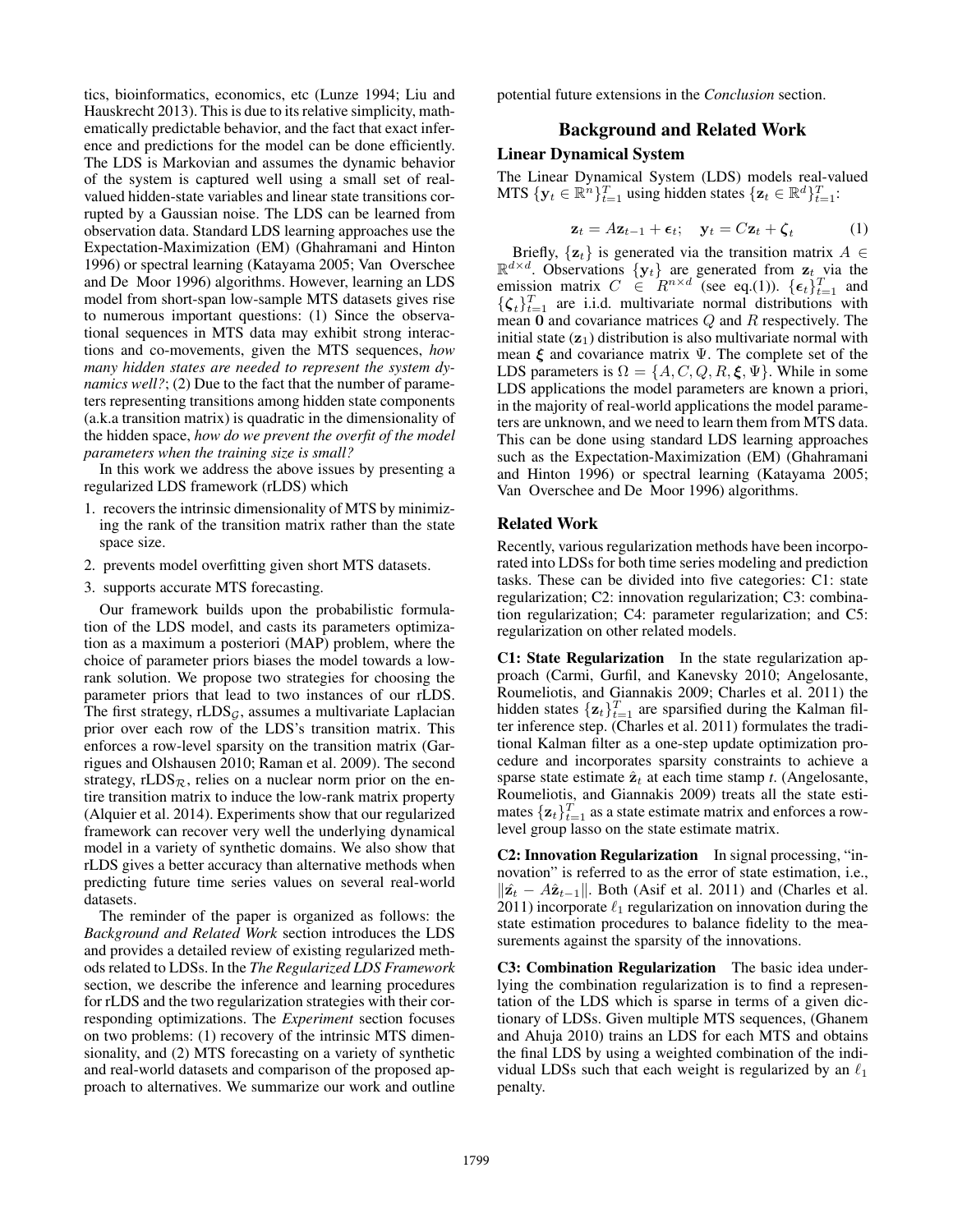tics, bioinformatics, economics, etc (Lunze 1994; Liu and Hauskrecht 2013). This is due to its relative simplicity, mathematically predictable behavior, and the fact that exact inference and predictions for the model can be done efficiently. The LDS is Markovian and assumes the dynamic behavior of the system is captured well using a small set of realvalued hidden-state variables and linear state transitions corrupted by a Gaussian noise. The LDS can be learned from observation data. Standard LDS learning approaches use the Expectation-Maximization (EM) (Ghahramani and Hinton 1996) or spectral learning (Katayama 2005; Van Overschee and De Moor 1996) algorithms. However, learning an LDS model from short-span low-sample MTS datasets gives rise to numerous important questions: (1) Since the observational sequences in MTS data may exhibit strong interactions and co-movements, given the MTS sequences, *how many hidden states are needed to represent the system dynamics well?*; (2) Due to the fact that the number of parameters representing transitions among hidden state components (a.k.a transition matrix) is quadratic in the dimensionality of the hidden space, *how do we prevent the overfit of the model parameters when the training size is small?*

In this work we address the above issues by presenting a regularized LDS framework (rLDS) which

- 1. recovers the intrinsic dimensionality of MTS by minimizing the rank of the transition matrix rather than the state space size.
- 2. prevents model overfitting given short MTS datasets.
- 3. supports accurate MTS forecasting.

Our framework builds upon the probabilistic formulation of the LDS model, and casts its parameters optimization as a maximum a posteriori (MAP) problem, where the choice of parameter priors biases the model towards a lowrank solution. We propose two strategies for choosing the parameter priors that lead to two instances of our rLDS. The first strategy,  $rLDS<sub>G</sub>$ , assumes a multivariate Laplacian prior over each row of the LDS's transition matrix. This enforces a row-level sparsity on the transition matrix (Garrigues and Olshausen 2010; Raman et al. 2009). The second strategy, rLDS $_R$ , relies on a nuclear norm prior on the entire transition matrix to induce the low-rank matrix property (Alquier et al. 2014). Experiments show that our regularized framework can recover very well the underlying dynamical model in a variety of synthetic domains. We also show that rLDS gives a better accuracy than alternative methods when predicting future time series values on several real-world datasets.

The reminder of the paper is organized as follows: the *Background and Related Work* section introduces the LDS and provides a detailed review of existing regularized methods related to LDSs. In the *The Regularized LDS Framework* section, we describe the inference and learning procedures for rLDS and the two regularization strategies with their corresponding optimizations. The *Experiment* section focuses on two problems: (1) recovery of the intrinsic MTS dimensionality, and (2) MTS forecasting on a variety of synthetic and real-world datasets and comparison of the proposed approach to alternatives. We summarize our work and outline

potential future extensions in the *Conclusion* section.

# Background and Related Work

## Linear Dynamical System

The Linear Dynamical System (LDS) models real-valued MTS  $\{y_t \in \mathbb{R}^n\}_{t=1}^T$  using hidden states  $\{\mathbf{z}_t \in \mathbb{R}^d\}_{t=1}^T$ :

$$
\mathbf{z}_t = A\mathbf{z}_{t-1} + \boldsymbol{\epsilon}_t; \quad \mathbf{y}_t = C\mathbf{z}_t + \boldsymbol{\zeta}_t \tag{1}
$$

Briefly,  $\{z_t\}$  is generated via the transition matrix  $A \in$  $\mathbb{R}^{d \times d}$ . Observations  $\{y_t\}$  are generated from  $z_t$  via the emission matrix  $C \in \mathbb{R}^{n \times d}$  (see eq.(1)).  $\{\epsilon_t\}_{t=1}^T$  and  $\{\boldsymbol{\zeta}_t\}_{t=1}^T$  are i.i.d. multivariate normal distributions with mean  $\mathbf 0$  and covariance matrices  $Q$  and  $R$  respectively. The initial state  $(z_1)$  distribution is also multivariate normal with mean  $\xi$  and covariance matrix  $\Psi$ . The complete set of the LDS parameters is  $\Omega = \{A, C, Q, R, \xi, \Psi\}$ . While in some LDS applications the model parameters are known a priori, in the majority of real-world applications the model parameters are unknown, and we need to learn them from MTS data. This can be done using standard LDS learning approaches such as the Expectation-Maximization (EM) (Ghahramani and Hinton 1996) or spectral learning (Katayama 2005; Van Overschee and De Moor 1996) algorithms.

## Related Work

Recently, various regularization methods have been incorporated into LDSs for both time series modeling and prediction tasks. These can be divided into five categories: C1: state regularization; C2: innovation regularization; C3: combination regularization; C4: parameter regularization; and C5: regularization on other related models.

C1: State Regularization In the state regularization approach (Carmi, Gurfil, and Kanevsky 2010; Angelosante, Roumeliotis, and Giannakis 2009; Charles et al. 2011) the hidden states  $\{\mathbf{z}_t\}_{t=1}^T$  are sparsified during the Kalman filter inference step. (Charles et al. 2011) formulates the traditional Kalman filter as a one-step update optimization procedure and incorporates sparsity constraints to achieve a sparse state estimate  $\hat{\mathbf{z}}_t$  at each time stamp *t*. (Angelosante, Roumeliotis, and Giannakis 2009) treats all the state estimates  $\{\mathbf{z}_t\}_{t=1}^T$  as a state estimate matrix and enforces a rowlevel group lasso on the state estimate matrix.

C2: Innovation Regularization In signal processing, "innovation" is referred to as the error of state estimation, i.e.,  $\|\hat{\mathbf{z}_t} - A\hat{\mathbf{z}}_{t-1}\|$ . Both (Asif et al. 2011) and (Charles et al. 2011) incorporate  $\ell_1$  regularization on innovation during the state estimation procedures to balance fidelity to the measurements against the sparsity of the innovations.

C3: Combination Regularization The basic idea underlying the combination regularization is to find a representation of the LDS which is sparse in terms of a given dictionary of LDSs. Given multiple MTS sequences, (Ghanem and Ahuja 2010) trains an LDS for each MTS and obtains the final LDS by using a weighted combination of the individual LDSs such that each weight is regularized by an  $\ell_1$ penalty.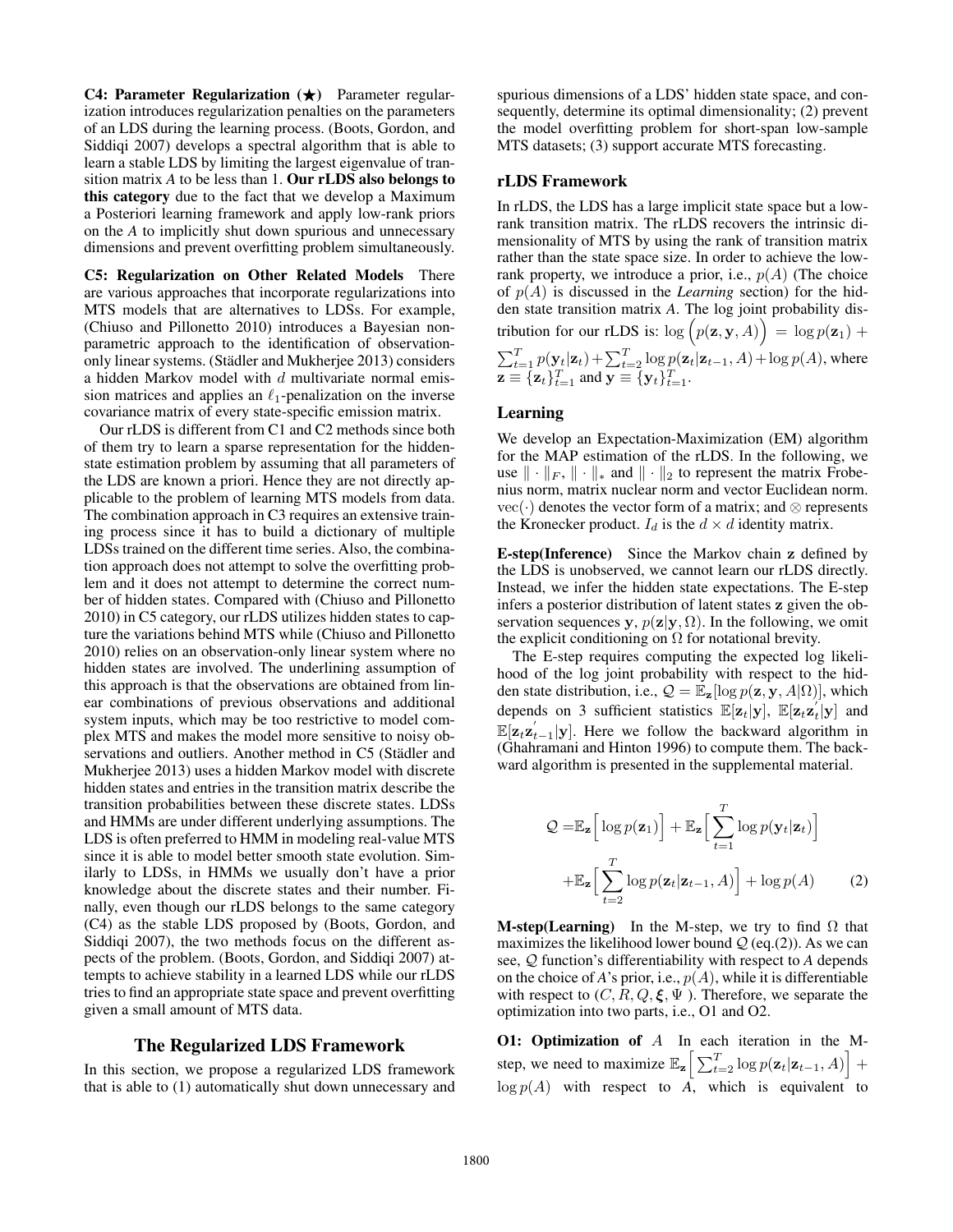C4: Parameter Regularization  $(\star)$  Parameter regularization introduces regularization penalties on the parameters of an LDS during the learning process. (Boots, Gordon, and Siddiqi 2007) develops a spectral algorithm that is able to learn a stable LDS by limiting the largest eigenvalue of transition matrix *A* to be less than 1. Our rLDS also belongs to this category due to the fact that we develop a Maximum a Posteriori learning framework and apply low-rank priors on the *A* to implicitly shut down spurious and unnecessary dimensions and prevent overfitting problem simultaneously.

C5: Regularization on Other Related Models There are various approaches that incorporate regularizations into MTS models that are alternatives to LDSs. For example, (Chiuso and Pillonetto 2010) introduces a Bayesian nonparametric approach to the identification of observationonly linear systems. (Städler and Mukherjee 2013) considers a hidden Markov model with  $d$  multivariate normal emission matrices and applies an  $\ell_1$ -penalization on the inverse covariance matrix of every state-specific emission matrix.

Our rLDS is different from C1 and C2 methods since both of them try to learn a sparse representation for the hiddenstate estimation problem by assuming that all parameters of the LDS are known a priori. Hence they are not directly applicable to the problem of learning MTS models from data. The combination approach in C3 requires an extensive training process since it has to build a dictionary of multiple LDSs trained on the different time series. Also, the combination approach does not attempt to solve the overfitting problem and it does not attempt to determine the correct number of hidden states. Compared with (Chiuso and Pillonetto 2010) in C5 category, our rLDS utilizes hidden states to capture the variations behind MTS while (Chiuso and Pillonetto 2010) relies on an observation-only linear system where no hidden states are involved. The underlining assumption of this approach is that the observations are obtained from linear combinations of previous observations and additional system inputs, which may be too restrictive to model complex MTS and makes the model more sensitive to noisy observations and outliers. Another method in C5 (Städler and Mukherjee 2013) uses a hidden Markov model with discrete hidden states and entries in the transition matrix describe the transition probabilities between these discrete states. LDSs and HMMs are under different underlying assumptions. The LDS is often preferred to HMM in modeling real-value MTS since it is able to model better smooth state evolution. Similarly to LDSs, in HMMs we usually don't have a prior knowledge about the discrete states and their number. Finally, even though our rLDS belongs to the same category (C4) as the stable LDS proposed by (Boots, Gordon, and Siddiqi 2007), the two methods focus on the different aspects of the problem. (Boots, Gordon, and Siddiqi 2007) attempts to achieve stability in a learned LDS while our rLDS tries to find an appropriate state space and prevent overfitting given a small amount of MTS data.

#### The Regularized LDS Framework

In this section, we propose a regularized LDS framework that is able to (1) automatically shut down unnecessary and spurious dimensions of a LDS' hidden state space, and consequently, determine its optimal dimensionality; (2) prevent the model overfitting problem for short-span low-sample MTS datasets; (3) support accurate MTS forecasting.

# rLDS Framework

In rLDS, the LDS has a large implicit state space but a lowrank transition matrix. The rLDS recovers the intrinsic dimensionality of MTS by using the rank of transition matrix rather than the state space size. In order to achieve the lowrank property, we introduce a prior, i.e.,  $p(A)$  (The choice of  $p(A)$  is discussed in the *Learning* section) for the hidden state transition matrix *A*. The log joint probability distribution for our rLDS is:  $\log (p(\mathbf{z}, \mathbf{y}, A)) = \log p(\mathbf{z}_1) +$  $\sum_{t=1}^{T} p(\mathbf{y}_t|\mathbf{z}_t) + \sum_{t=2}^{T} \log p(\mathbf{z}_t|\mathbf{z}_{t-1}, A) + \log p(A)$ , where  $\mathbf{z} \equiv {\mathbf{z}_t}_{t=1}^T$  and  $\mathbf{y} \equiv {\mathbf{y}_t}_{t=1}^T$ .

## Learning

We develop an Expectation-Maximization (EM) algorithm for the MAP estimation of the rLDS. In the following, we use  $\|\cdot\|_F$ ,  $\|\cdot\|_*$  and  $\|\cdot\|_2$  to represent the matrix Frobenius norm, matrix nuclear norm and vector Euclidean norm. vec(·) denotes the vector form of a matrix; and  $\otimes$  represents the Kronecker product.  $I_d$  is the  $d \times d$  identity matrix.

E-step(Inference) Since the Markov chain z defined by the LDS is unobserved, we cannot learn our rLDS directly. Instead, we infer the hidden state expectations. The E-step infers a posterior distribution of latent states z given the observation sequences y,  $p(\mathbf{z}|\mathbf{y}, \Omega)$ . In the following, we omit the explicit conditioning on  $\Omega$  for notational brevity.

The E-step requires computing the expected log likelihood of the log joint probability with respect to the hidden state distribution, i.e.,  $Q = \mathbb{E}_{z}[\log p(z, y, A|\Omega)]$ , which depends on 3 sufficient statistics  $\mathbb{E}[\mathbf{z}_t|\mathbf{y}]$ ,  $\mathbb{E}[\mathbf{z}_t\mathbf{z}_t'|\mathbf{y}]$  and  $\mathbb{E}[\mathbf{z}_t \mathbf{z}_{t-1}^{\'} | \mathbf{y}]$ . Here we follow the backward algorithm in (Ghahramani and Hinton 1996) to compute them. The backward algorithm is presented in the supplemental material.

$$
Q = \mathbb{E}_{\mathbf{z}} \Big[ \log p(\mathbf{z}_1) \Big] + \mathbb{E}_{\mathbf{z}} \Big[ \sum_{t=1}^{T} \log p(\mathbf{y}_t | \mathbf{z}_t) \Big] + \mathbb{E}_{\mathbf{z}} \Big[ \sum_{t=2}^{T} \log p(\mathbf{z}_t | \mathbf{z}_{t-1}, A) \Big] + \log p(A) \tag{2}
$$

**M-step(Learning)** In the M-step, we try to find  $\Omega$  that maximizes the likelihood lower bound  $Q$  (eq.(2)). As we can see, Q function's differentiability with respect to *A* depends on the choice of *A*'s prior, i.e.,  $p(A)$ , while it is differentiable with respect to  $(C, R, Q, \xi, \Psi)$ . Therefore, we separate the optimization into two parts, i.e., O1 and O2.

**O1: Optimization of**  $A$  In each iteration in the Mstep, we need to maximize  $\mathbb{E}_{\mathbf{z}} \left[ \sum_{t=2}^{T} \log p(\mathbf{z}_t | \mathbf{z}_{t-1}, A) \right] +$  $\log p(A)$  with respect to  $\overline{A}$ , which is equivalent to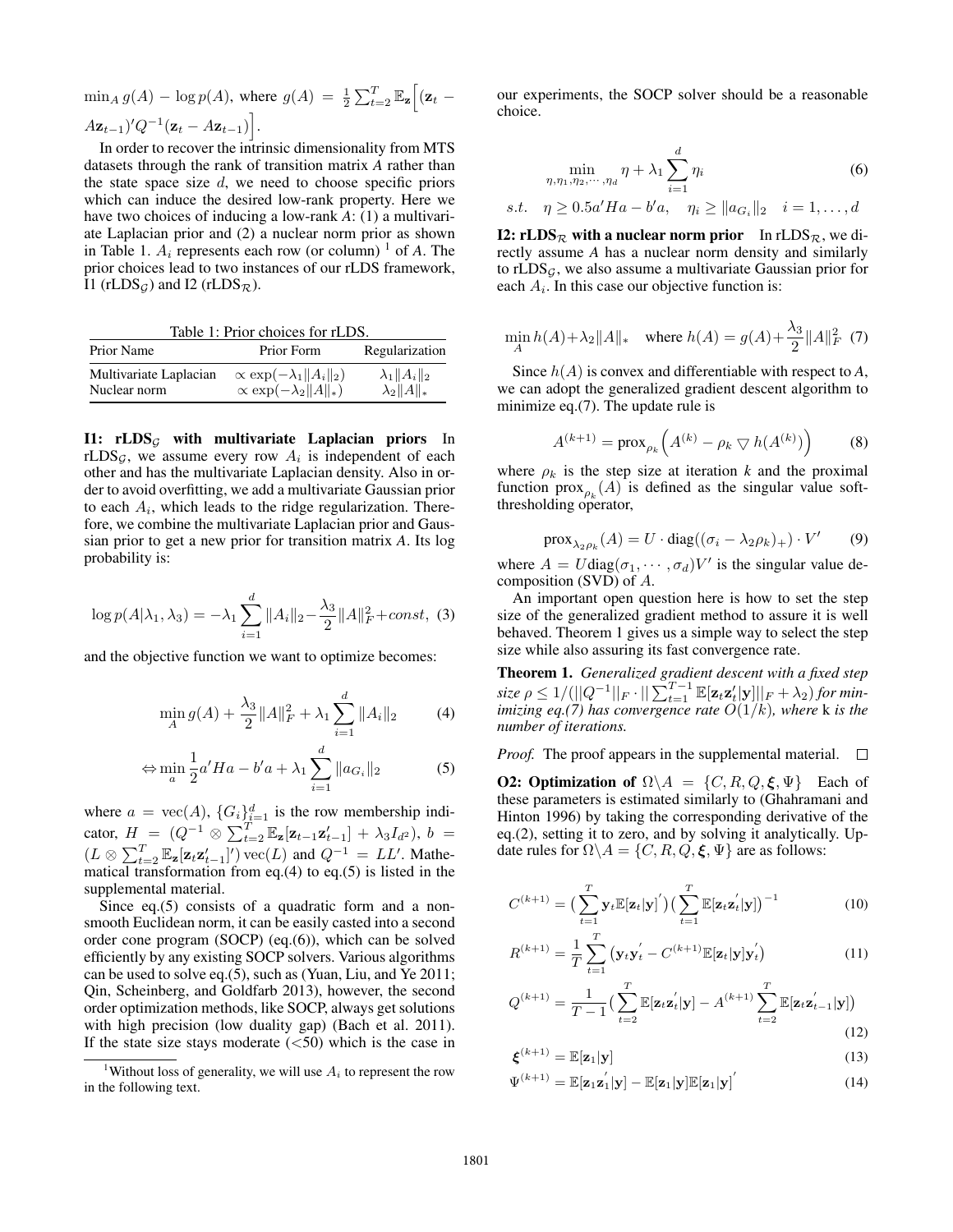$\min_A g(A) - \log p(A)$ , where  $g(A) = \frac{1}{2} \sum_{t=2}^T \mathbb{E}_{\mathbf{z}} \left[ (\mathbf{z}_t - \mathbf{z}_t)^T \mathbf{z}_t + \mathbf{z}_t \right]$  $(A\mathbf{z}_{t-1})'Q^{-1}(\mathbf{z}_t - A\mathbf{z}_{t-1})\big].$ 

In order to recover the intrinsic dimensionality from MTS datasets through the rank of transition matrix *A* rather than the state space size  $d$ , we need to choose specific priors which can induce the desired low-rank property. Here we have two choices of inducing a low-rank *A*: (1) a multivariate Laplacian prior and (2) a nuclear norm prior as shown in Table 1.  $A_i$  represents each row (or column) <sup>1</sup> of *A*. The prior choices lead to two instances of our rLDS framework, I1 (rLDS<sub>G</sub>) and I2 (rLDS<sub>R</sub>).

Table 1: Prior choices for rLDS.

| Prior Name             | Prior Form                            | Regularization       |
|------------------------|---------------------------------------|----------------------|
| Multivariate Laplacian | $\propto$ exp $(-\lambda_1  A_i  _2)$ | $\lambda_1  A_i  _2$ |
| Nuclear norm           | $\propto \exp(-\lambda_2   A  _*)$    | $\lambda_2  A  _*$   |

I1:  $rLDS<sub>G</sub>$  with multivariate Laplacian priors In rLDS<sub>G</sub>, we assume every row  $A_i$  is independent of each other and has the multivariate Laplacian density. Also in order to avoid overfitting, we add a multivariate Gaussian prior to each  $A_i$ , which leads to the ridge regularization. Therefore, we combine the multivariate Laplacian prior and Gaussian prior to get a new prior for transition matrix *A*. Its log probability is:

$$
\log p(A|\lambda_1, \lambda_3) = -\lambda_1 \sum_{i=1}^d \|A_i\|_2 - \frac{\lambda_3}{2} \|A\|_F^2 + const, \tag{3}
$$

and the objective function we want to optimize becomes:

$$
\min_{A} g(A) + \frac{\lambda_3}{2} ||A||_F^2 + \lambda_1 \sum_{i=1}^d ||A_i||_2 \tag{4}
$$

$$
\Leftrightarrow \min_{a} \frac{1}{2} a' Ha - b'a + \lambda_1 \sum_{i=1}^{d} \|a_{G_i}\|_2 \tag{5}
$$

where  $a = \text{vec}(A)$ ,  $\{G_i\}_{i=1}^d$  is the row membership indicator,  $H = (Q^{-1} \otimes \sum_{t=2}^{T} \mathbb{E}_{\mathbf{z}}[\mathbf{z}_{t-1} \mathbf{z}_{t-1}'] + \lambda_3 I_{d^2}), b =$  $(L \otimes \sum_{t=2}^{T} \mathbb{E}_{\mathbf{z}}[\mathbf{z}_t \mathbf{z}_{t-1}']')$  vec $(L)$  and  $Q^{-1} = LL'$ . Mathematical transformation from eq.(4) to eq.(5) is listed in the supplemental material.

Since eq.(5) consists of a quadratic form and a nonsmooth Euclidean norm, it can be easily casted into a second order cone program (SOCP) (eq.(6)), which can be solved efficiently by any existing SOCP solvers. Various algorithms can be used to solve eq.(5), such as (Yuan, Liu, and Ye 2011; Qin, Scheinberg, and Goldfarb 2013), however, the second order optimization methods, like SOCP, always get solutions with high precision (low duality gap) (Bach et al. 2011). If the state size stays moderate  $(<50)$  which is the case in our experiments, the SOCP solver should be a reasonable choice.

$$
\min_{\eta,\eta_1,\eta_2,\cdots,\eta_d} \eta + \lambda_1 \sum_{i=1}^d \eta_i
$$
 (6)

s.t.  $\eta \ge 0.5a'Ha - b'a, \quad \eta_i \ge ||a_{G_i}||_2 \quad i = 1, ..., d$ 

I2: rLDS<sub>R</sub> with a nuclear norm prior In rLDS<sub>R</sub>, we directly assume *A* has a nuclear norm density and similarly to rLDS $<sub>G</sub>$ , we also assume a multivariate Gaussian prior for</sub> each  $A_i$ . In this case our objective function is:

$$
\min_{A} h(A) + \lambda_2 \|A\|_{*} \quad \text{where } h(A) = g(A) + \frac{\lambda_3}{2} \|A\|_{F}^{2} \tag{7}
$$

Since h(A) is convex and differentiable with respect to *A*, we can adopt the generalized gradient descent algorithm to minimize eq.(7). The update rule is

$$
A^{(k+1)} = \operatorname{prox}_{\rho_k} \left( A^{(k)} - \rho_k \nabla h(A^{(k)}) \right) \tag{8}
$$

where  $\rho_k$  is the step size at iteration *k* and the proximal function  $prox_{\rho_k}(A)$  is defined as the singular value softthresholding operator,

$$
\text{prox}_{\lambda_2 \rho_k}(A) = U \cdot \text{diag}((\sigma_i - \lambda_2 \rho_k)_+) \cdot V' \qquad (9)
$$

where  $A = U \text{diag}(\sigma_1, \dots, \sigma_d) V'$  is the singular value decomposition (SVD) of A.

An important open question here is how to set the step size of the generalized gradient method to assure it is well behaved. Theorem 1 gives us a simple way to select the step size while also assuring its fast convergence rate.

Theorem 1. *Generalized gradient descent with a fixed step*  $size \ \rho \leq 1/(\left|\left|Q^{-1}\right|\right|_F \cdot \left|\left|\sum_{t=1}^{T-1} \mathbb{E}[\mathbf{z}_t \mathbf{z}'_t | \mathbf{y}]\right|\right|_F + \lambda_2) \ for \ min$ *imizing eq.(7) has convergence rate* O(1/k)*, where* k *is the number of iterations.*

*Proof.* The proof appears in the supplemental material.  $\Box$ 

**O2: Optimization of**  $\Omega \backslash A = \{C, R, Q, \xi, \Psi\}$  Each of these parameters is estimated similarly to (Ghahramani and Hinton 1996) by taking the corresponding derivative of the eq.(2), setting it to zero, and by solving it analytically. Update rules for  $\Omega \backslash A = \{C, R, Q, \xi, \Psi\}$  are as follows:

$$
C^{(k+1)} = \left(\sum_{t=1}^{T} \mathbf{y}_t \mathbb{E}[\mathbf{z}_t | \mathbf{y}]'\right) \left(\sum_{t=1}^{T} \mathbb{E}[\mathbf{z}_t \mathbf{z}_t^{'} | \mathbf{y}]\right)^{-1} \tag{10}
$$

$$
R^{(k+1)} = \frac{1}{T} \sum_{t=1}^{T} (\mathbf{y}_t \mathbf{y}_t' - C^{(k+1)} \mathbb{E}[\mathbf{z}_t | \mathbf{y}] \mathbf{y}_t') \tag{11}
$$

$$
Q^{(k+1)} = \frac{1}{T-1} \left( \sum_{t=2}^{T} \mathbb{E}[\mathbf{z}_t \mathbf{z}_t^{'} | \mathbf{y}] - A^{(k+1)} \sum_{t=2}^{T} \mathbb{E}[\mathbf{z}_t \mathbf{z}_{t-1}^{'} | \mathbf{y}] \right)
$$
(12)

$$
\boldsymbol{\xi}^{(k+1)} = \mathbb{E}[\mathbf{z}_1 | \mathbf{y}] \tag{13}
$$

$$
\Psi^{(k+1)} = \mathbb{E}[\mathbf{z}_1 \mathbf{z}_1' | \mathbf{y}] - \mathbb{E}[\mathbf{z}_1 | \mathbf{y}] \mathbb{E}[\mathbf{z}_1 | \mathbf{y}]'
$$
(14)

<sup>&</sup>lt;sup>1</sup>Without loss of generality, we will use  $A_i$  to represent the row in the following text.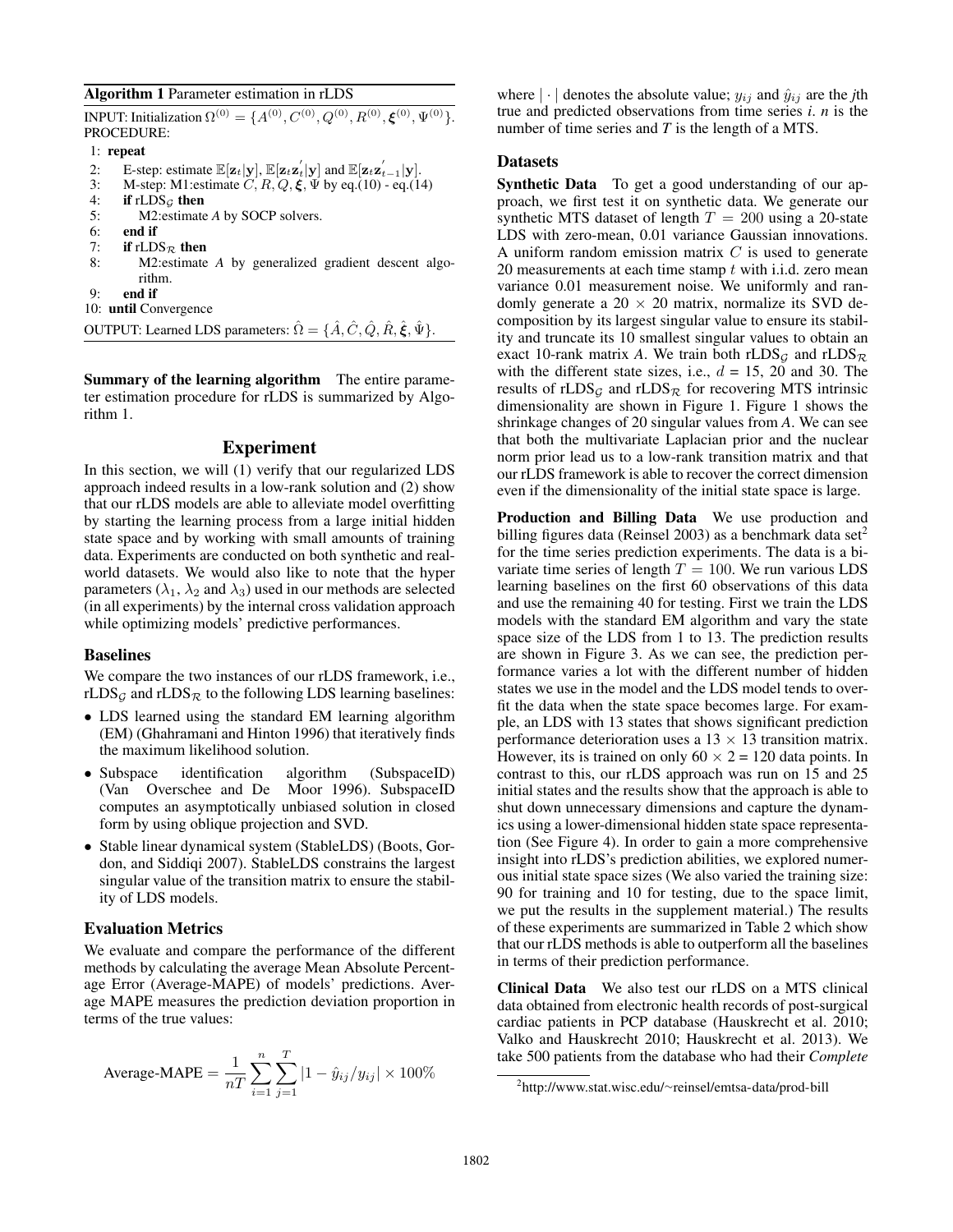## Algorithm 1 Parameter estimation in rLDS

INPUT: Initialization Ω $^{(0)} = \{A^{(0)}, C^{(0)}, Q^{(0)}, R^{(0)}, \boldsymbol{\xi}^{(0)}, \Psi^{(0)}\}.$ PROCEDURE:

#### 1: repeat

- 2: E-step: estimate  $\mathbb{E}[\mathbf{z}_t|\mathbf{y}], \mathbb{E}[\mathbf{z}_t \mathbf{z}_t'|\mathbf{y}]$  and  $\mathbb{E}[\mathbf{z}_t \mathbf{z}_{t-1}'|\mathbf{y}]$ .
- 3: M-step: M1:estimate  $C, R, Q, \xi, \Psi$  by eq.(10) eq.(14)
- 4: if  $rLDS<sub>G</sub>$  then
- 5: M2:estimate *A* by SOCP solvers.
- 6: end if<br>7: if  $rLD$
- if  $rLDS_R$  then
- 8: M2:estimate *A* by generalized gradient descent algorithm.
- 9: end if

10: until Convergence

OUTPUT: Learned LDS parameters:  $\hat{\Omega} = \{\hat{A}, \hat{C}, \hat{Q}, \hat{R}, \hat{\xi}, \hat{\Psi}\}.$ 

Summary of the learning algorithm The entire parameter estimation procedure for rLDS is summarized by Algorithm 1.

## Experiment

In this section, we will (1) verify that our regularized LDS approach indeed results in a low-rank solution and (2) show that our rLDS models are able to alleviate model overfitting by starting the learning process from a large initial hidden state space and by working with small amounts of training data. Experiments are conducted on both synthetic and realworld datasets. We would also like to note that the hyper parameters ( $\lambda_1$ ,  $\lambda_2$  and  $\lambda_3$ ) used in our methods are selected (in all experiments) by the internal cross validation approach while optimizing models' predictive performances.

#### Baselines

We compare the two instances of our rLDS framework, i.e.,  $rLDS<sub>G</sub>$  and  $rLDS<sub>R</sub>$  to the following LDS learning baselines:

- LDS learned using the standard EM learning algorithm (EM) (Ghahramani and Hinton 1996) that iteratively finds the maximum likelihood solution.
- Subspace identification algorithm (SubspaceID) (Van Overschee and De Moor 1996). SubspaceID computes an asymptotically unbiased solution in closed form by using oblique projection and SVD.
- Stable linear dynamical system (StableLDS) (Boots, Gordon, and Siddiqi 2007). StableLDS constrains the largest singular value of the transition matrix to ensure the stability of LDS models.

## Evaluation Metrics

We evaluate and compare the performance of the different methods by calculating the average Mean Absolute Percentage Error (Average-MAPE) of models' predictions. Average MAPE measures the prediction deviation proportion in terms of the true values:

Average-MAPE = 
$$
\frac{1}{nT} \sum_{i=1}^{n} \sum_{j=1}^{T} |1 - \hat{y}_{ij}/y_{ij}| \times 100\%
$$

where  $|\cdot|$  denotes the absolute value;  $y_{ij}$  and  $\hat{y}_{ij}$  are the *j*th true and predicted observations from time series *i*. *n* is the number of time series and *T* is the length of a MTS.

#### **Datasets**

Synthetic Data To get a good understanding of our approach, we first test it on synthetic data. We generate our synthetic MTS dataset of length  $T = 200$  using a 20-state LDS with zero-mean, 0.01 variance Gaussian innovations. A uniform random emission matrix  $C$  is used to generate 20 measurements at each time stamp  $t$  with i.i.d. zero mean variance 0.01 measurement noise. We uniformly and randomly generate a  $20 \times 20$  matrix, normalize its SVD decomposition by its largest singular value to ensure its stability and truncate its 10 smallest singular values to obtain an exact 10-rank matrix A. We train both rLDS<sub>G</sub> and rLDS<sub>R</sub> with the different state sizes, i.e.,  $d = 15$ , 20 and 30. The results of rLDS<sub>G</sub> and rLDS<sub>R</sub> for recovering MTS intrinsic dimensionality are shown in Figure 1. Figure 1 shows the shrinkage changes of 20 singular values from *A*. We can see that both the multivariate Laplacian prior and the nuclear norm prior lead us to a low-rank transition matrix and that our rLDS framework is able to recover the correct dimension even if the dimensionality of the initial state space is large.

Production and Billing Data We use production and billing figures data (Reinsel 2003) as a benchmark data set<sup>2</sup> for the time series prediction experiments. The data is a bivariate time series of length  $T = 100$ . We run various LDS learning baselines on the first 60 observations of this data and use the remaining 40 for testing. First we train the LDS models with the standard EM algorithm and vary the state space size of the LDS from 1 to 13. The prediction results are shown in Figure 3. As we can see, the prediction performance varies a lot with the different number of hidden states we use in the model and the LDS model tends to overfit the data when the state space becomes large. For example, an LDS with 13 states that shows significant prediction performance deterioration uses a  $13 \times 13$  transition matrix. However, its is trained on only  $60 \times 2 = 120$  data points. In contrast to this, our rLDS approach was run on 15 and 25 initial states and the results show that the approach is able to shut down unnecessary dimensions and capture the dynamics using a lower-dimensional hidden state space representation (See Figure 4). In order to gain a more comprehensive insight into rLDS's prediction abilities, we explored numerous initial state space sizes (We also varied the training size: 90 for training and 10 for testing, due to the space limit, we put the results in the supplement material.) The results of these experiments are summarized in Table 2 which show that our rLDS methods is able to outperform all the baselines in terms of their prediction performance.

Clinical Data We also test our rLDS on a MTS clinical data obtained from electronic health records of post-surgical cardiac patients in PCP database (Hauskrecht et al. 2010; Valko and Hauskrecht 2010; Hauskrecht et al. 2013). We take 500 patients from the database who had their *Complete*

<sup>2</sup> http://www.stat.wisc.edu/∼reinsel/emtsa-data/prod-bill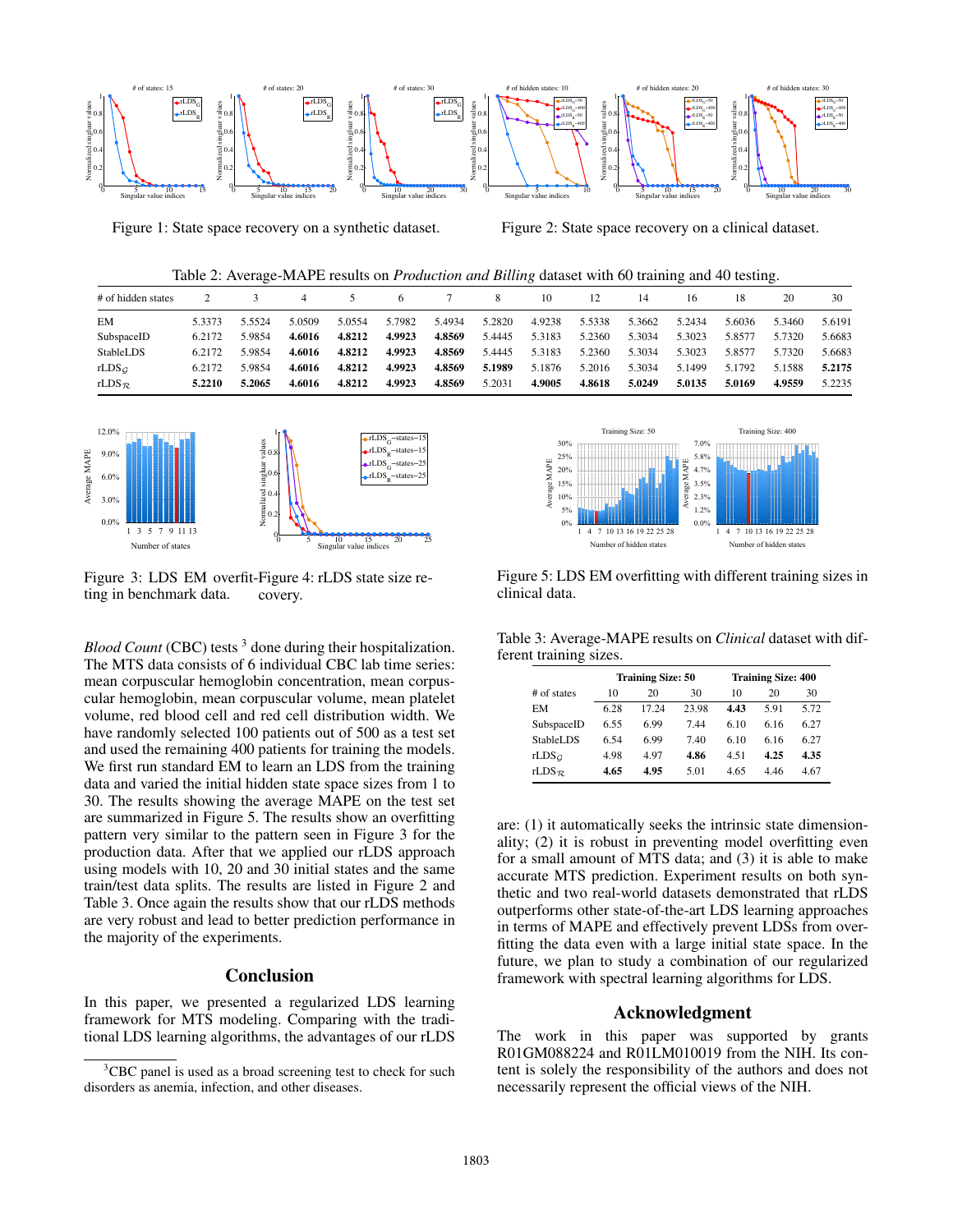

Figure 1: State space recovery on a synthetic dataset.

Figure 2: State space recovery on a clinical dataset.

Table 2: Average-MAPE results on *Production and Billing* dataset with 60 training and 40 testing.

| # of hidden states    |        |        | 4      |        | 6      |        | 8.     | 10     | 12     | 14     | 16     | 18     | 20     | 30     |
|-----------------------|--------|--------|--------|--------|--------|--------|--------|--------|--------|--------|--------|--------|--------|--------|
| EM                    | 5.3373 | 5.5524 | 5.0509 | 5.0554 | 5.7982 | 5.4934 | 5.2820 | 4.9238 | 5.5338 | 5.3662 | 5.2434 | 5.6036 | 5.3460 | 5.6191 |
| SubspaceID            | 6.2172 | 5.9854 | 4.6016 | 4.8212 | 4.9923 | 4.8569 | 5.4445 | 5.3183 | 5.2360 | 5.3034 | 5.3023 | 5.8577 | 5.7320 | 5.6683 |
| StableLDS             | 6.2172 | 5.9854 | 4.6016 | 4.8212 | 4.9923 | 4.8569 | 5.4445 | 5.3183 | 5.2360 | 5.3034 | 5.3023 | 5.8577 | 5.7320 | 5.6683 |
| rLDS <sub>G</sub>     | 6.2172 | 5.9854 | 4.6016 | 4.8212 | 4.9923 | 4.8569 | 5.1989 | 5.1876 | 5.2016 | 5.3034 | 5.1499 | 5.1792 | 5.1588 | 5.2175 |
| rLDS $_{\mathcal{R}}$ | 5.2210 | 5.2065 | 4.6016 | 4.8212 | 4.9923 | 4.8569 | 5.2031 | 4.9005 | 4.8618 | 5.0249 | 5.0135 | 5.0169 | 4.9559 | 5.2235 |
|                       |        |        |        |        |        |        |        |        |        |        |        |        |        |        |



Figure 3: LDS EM overfit-Figure 4: rLDS state size reting in benchmark data. covery.

*Blood Count* (CBC) tests <sup>3</sup> done during their hospitalization. The MTS data consists of 6 individual CBC lab time series: mean corpuscular hemoglobin concentration, mean corpuscular hemoglobin, mean corpuscular volume, mean platelet volume, red blood cell and red cell distribution width. We have randomly selected 100 patients out of 500 as a test set and used the remaining 400 patients for training the models. We first run standard EM to learn an LDS from the training data and varied the initial hidden state space sizes from 1 to 30. The results showing the average MAPE on the test set are summarized in Figure 5. The results show an overfitting pattern very similar to the pattern seen in Figure 3 for the production data. After that we applied our rLDS approach using models with 10, 20 and 30 initial states and the same train/test data splits. The results are listed in Figure 2 and Table 3. Once again the results show that our rLDS methods are very robust and lead to better prediction performance in the majority of the experiments.

## **Conclusion**

In this paper, we presented a regularized LDS learning framework for MTS modeling. Comparing with the traditional LDS learning algorithms, the advantages of our rLDS



Figure 5: LDS EM overfitting with different training sizes in clinical data.

Table 3: Average-MAPE results on *Clinical* dataset with different training sizes.

|                       |      | <b>Training Size: 50</b> |       | <b>Training Size: 400</b> |      |      |  |  |  |
|-----------------------|------|--------------------------|-------|---------------------------|------|------|--|--|--|
| # of states           | 10   | 20                       | 30    | 10                        | 20   | 30   |  |  |  |
| EM                    | 6.28 | 17 24                    | 23.98 | 4.43                      | 5.91 | 5.72 |  |  |  |
| SubspaceID            | 6.55 | 6.99                     | 7.44  | 6.10                      | 6.16 | 6.27 |  |  |  |
| StableLDS             | 6.54 | 6.99                     | 7.40  | 6.10                      | 6.16 | 6.27 |  |  |  |
| rLDS <sub>G</sub>     | 4.98 | 4.97                     | 4.86  | 4.51                      | 4.25 | 4.35 |  |  |  |
| rLDS $_{\mathcal{R}}$ | 4.65 | 4.95                     | 5.01  | 4.65                      | 4.46 | 4.67 |  |  |  |

are: (1) it automatically seeks the intrinsic state dimensionality; (2) it is robust in preventing model overfitting even for a small amount of MTS data; and (3) it is able to make accurate MTS prediction. Experiment results on both synthetic and two real-world datasets demonstrated that rLDS outperforms other state-of-the-art LDS learning approaches in terms of MAPE and effectively prevent LDSs from overfitting the data even with a large initial state space. In the future, we plan to study a combination of our regularized framework with spectral learning algorithms for LDS.

# Acknowledgment

The work in this paper was supported by grants R01GM088224 and R01LM010019 from the NIH. Its content is solely the responsibility of the authors and does not necessarily represent the official views of the NIH.

<sup>&</sup>lt;sup>3</sup>CBC panel is used as a broad screening test to check for such disorders as anemia, infection, and other diseases.